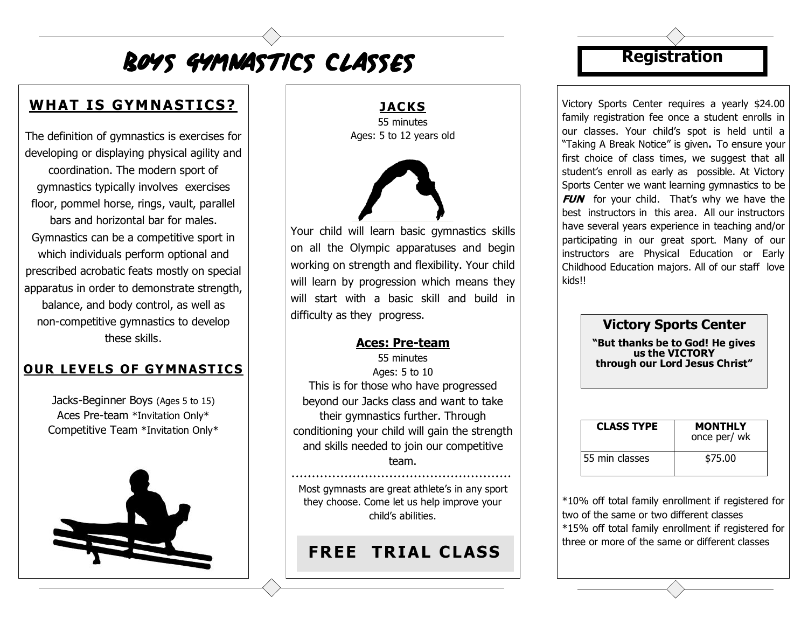# BOYS GYMNASTICS ClASSeS

## WHAT IS GYMNASTICS?

The definition of gymnastics is exercises for developing or displaying physical agility and coordination. The modern sport of gymnastics typically involves exercises floor, pommel horse, rings, vault, parallel bars and horizontal bar for males. Gymnastics can be a competitive sport in which individuals perform optional and prescribed acrobatic feats mostly on special apparatus in order to demonstrate strength, balance, and body control, as well as non-competitive gymnastics to develop these skills.

#### **OUR LEVELS OF GYMNASTICS**

Jacks-Beginner Boys (Ages 5 to 15) Aces Pre-team \*Invitation Only\* Competitive Team \*Invitation Only\*



**JACKS** 55 minutes Ages: 5 to 12 years old



Your child will learn basic gymnastics skills on all the Olympic apparatuses and begin working on strength and flexibility. Your child will learn by progression which means they will start with a basic skill and build in difficulty as they progress.

#### **Aces: Pre-team**

55 minutes Ages: 5 to 10 This is for those who have progressed beyond our Jacks class and want to take their gymnastics further. Through conditioning your child will gain the strength and skills needed to join our competitive team.

Most gymnasts are great athlete's in any sport they choose. Come let us help improve your child's abilities.

### **FREE TRIAL CLASS**

### **Registration**

Victory Sports Center requires a yearly \$24.00 family registration fee once a student enrolls in our classes. Your child's spot is held until a "Taking A Break Notice" is given**.** To ensure your first choice of class times, we suggest that all student's enroll as early as possible. At Victory Sports Center we want learning gymnastics to be **FUN** for your child. That's why we have the best instructors in this area. All our instructors have several years experience in teaching and/or participating in our great sport. Many of our instructors are Physical Education or Early Childhood Education majors. All of our staff love kids!!

#### **Victory Sports Center**

**"But thanks be to God! He gives us the VICTORY through our Lord Jesus Christ"**

| <b>CLASS TYPE</b> | <b>MONTHLY</b><br>once per/ wk |
|-------------------|--------------------------------|
| 55 min classes    | \$75.00                        |

\*10% off total family enrollment if registered for two of the same or two different classes \*15% off total family enrollment if registered for three or more of the same or different classes